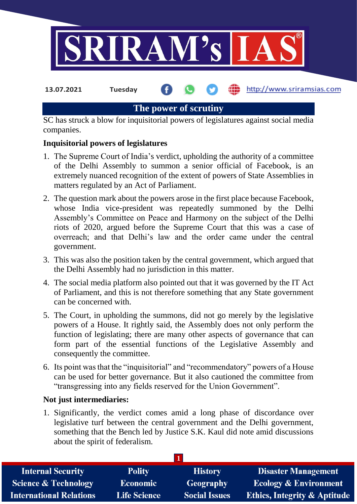

**13.07.2021 Tuesday**

**fin** http://www.sriramsias.com

## **The power of scrutiny**

SC has struck a blow for inquisitorial powers of legislatures against social media companies.

## **Inquisitorial powers of legislatures**

- 1. The Supreme Court of India's verdict, upholding the authority of a committee of the Delhi Assembly to summon a senior official of Facebook, is an extremely nuanced recognition of the extent of powers of State Assemblies in matters regulated by an Act of Parliament.
- 2. The question mark about the powers arose in the first place because Facebook, whose India vice-president was repeatedly summoned by the Delhi Assembly's Committee on Peace and Harmony on the subject of the Delhi riots of 2020, argued before the Supreme Court that this was a case of overreach; and that Delhi's law and the order came under the central government.
- 3. This was also the position taken by the central government, which argued that the Delhi Assembly had no jurisdiction in this matter.
- 4. The social media platform also pointed out that it was governed by the IT Act of Parliament, and this is not therefore something that any State government can be concerned with.
- 5. The Court, in upholding the summons, did not go merely by the legislative powers of a House. It rightly said, the Assembly does not only perform the function of legislating; there are many other aspects of governance that can form part of the essential functions of the Legislative Assembly and consequently the committee.
- 6. Its point was that the "inquisitorial" and "recommendatory" powers of a House can be used for better governance. But it also cautioned the committee from "transgressing into any fields reserved for the Union Government".

## **Not just intermediaries:**

1. Significantly, the verdict comes amid a long phase of discordance over legislative turf between the central government and the Delhi government, something that the Bench led by Justice S.K. Kaul did note amid discussions about the spirit of federalism.

| <b>Polity</b>       | <b>History</b>       | <b>Disaster Management</b>              |
|---------------------|----------------------|-----------------------------------------|
| <b>Economic</b>     | Geography            | <b>Ecology &amp; Environment</b>        |
| <b>Life Science</b> | <b>Social Issues</b> | <b>Ethics, Integrity &amp; Aptitude</b> |
|                     |                      |                                         |